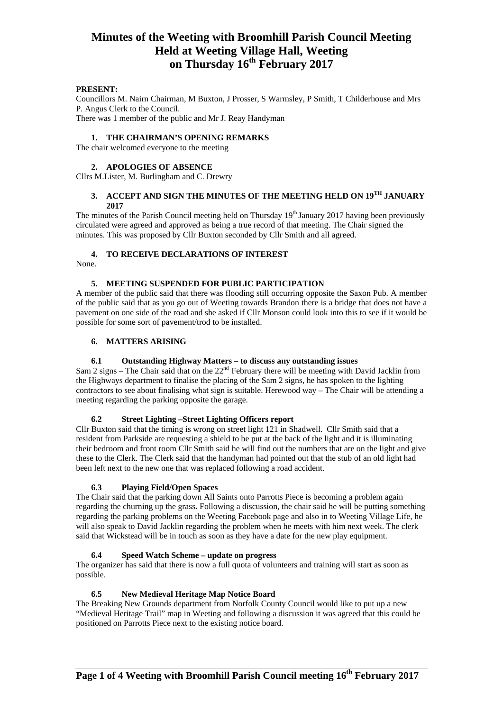## **PRESENT:**

Councillors M. Nairn Chairman, M Buxton, J Prosser, S Warmsley, P Smith, T Childerhouse and Mrs P. Angus Clerk to the Council. There was 1 member of the public and Mr J. Reay Handyman

#### **1. THE CHAIRMAN'S OPENING REMARKS**

The chair welcomed everyone to the meeting

#### **2. APOLOGIES OF ABSENCE**

Cllrs M.Lister, M. Burlingham and C. Drewry

# **3. ACCEPT AND SIGN THE MINUTES OF THE MEETING HELD ON 19TH JANUARY 2017**

The minutes of the Parish Council meeting held on Thursday 19<sup>th</sup> January 2017 having been previously circulated were agreed and approved as being a true record of that meeting. The Chair signed the minutes. This was proposed by Cllr Buxton seconded by Cllr Smith and all agreed.

# **4. TO RECEIVE DECLARATIONS OF INTEREST**

None.

#### **5. MEETING SUSPENDED FOR PUBLIC PARTICIPATION**

A member of the public said that there was flooding still occurring opposite the Saxon Pub. A member of the public said that as you go out of Weeting towards Brandon there is a bridge that does not have a pavement on one side of the road and she asked if Cllr Monson could look into this to see if it would be possible for some sort of pavement/trod to be installed.

#### **6. MATTERS ARISING**

### **6.1 Outstanding Highway Matters – to discuss any outstanding issues**

Sam 2 signs – The Chair said that on the 22<sup>nd</sup> February there will be meeting with David Jacklin from the Highways department to finalise the placing of the Sam 2 signs, he has spoken to the lighting contractors to see about finalising what sign is suitable. Herewood way – The Chair will be attending a meeting regarding the parking opposite the garage.

### **6.2 Street Lighting –Street Lighting Officers report**

Cllr Buxton said that the timing is wrong on street light 121 in Shadwell. Cllr Smith said that a resident from Parkside are requesting a shield to be put at the back of the light and it is illuminating their bedroom and front room Cllr Smith said he will find out the numbers that are on the light and give these to the Clerk. The Clerk said that the handyman had pointed out that the stub of an old light had been left next to the new one that was replaced following a road accident.

### **6.3 Playing Field/Open Spaces**

The Chair said that the parking down All Saints onto Parrotts Piece is becoming a problem again regarding the churning up the grass**.** Following a discussion, the chair said he will be putting something regarding the parking problems on the Weeting Facebook page and also in to Weeting Village Life, he will also speak to David Jacklin regarding the problem when he meets with him next week. The clerk said that Wickstead will be in touch as soon as they have a date for the new play equipment.

### **6.4 Speed Watch Scheme – update on progress**

The organizer has said that there is now a full quota of volunteers and training will start as soon as possible.

#### **6.5 New Medieval Heritage Map Notice Board**

The Breaking New Grounds department from Norfolk County Council would like to put up a new "Medieval Heritage Trail" map in Weeting and following a discussion it was agreed that this could be positioned on Parrotts Piece next to the existing notice board.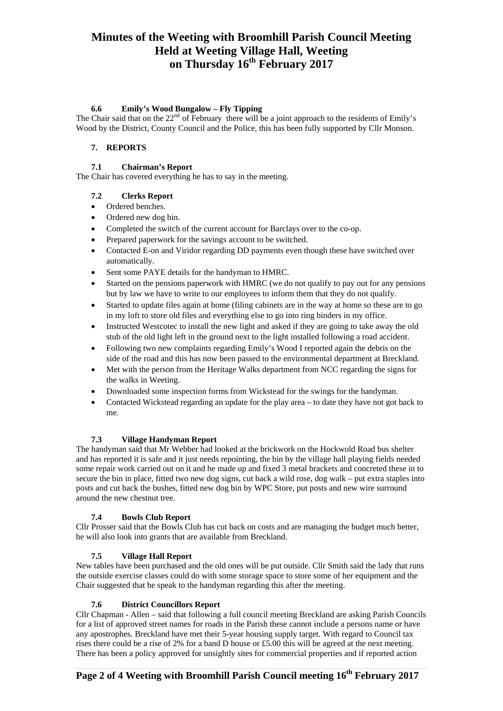## **6.6 Emily's Wood Bungalow – Fly Tipping**

The Chair said that on the  $22<sup>nd</sup>$  of February there will be a joint approach to the residents of Emily's Wood by the District, County Council and the Police, this has been fully supported by Cllr Monson.

# **7. REPORTS**

# **7.1 Chairman's Report**

The Chair has covered everything he has to say in the meeting.

# **7.2 Clerks Report**

- Ordered benches.
- Ordered new dog bin.
- Completed the switch of the current account for Barclays over to the co-op.
- Prepared paperwork for the savings account to be switched.
- Contacted E-on and Viridor regarding DD payments even though these have switched over automatically.
- Sent some PAYE details for the handyman to HMRC.
- Started on the pensions paperwork with HMRC (we do not qualify to pay out for any pensions but by law we have to write to our employees to inform them that they do not qualify.
- Started to update files again at home (filing cabinets are in the way at home so these are to go in my loft to store old files and everything else to go into ring binders in my office.
- Instructed Westcotec to install the new light and asked if they are going to take away the old stub of the old light left in the ground next to the light installed following a road accident.
- Following two new complaints regarding Emily's Wood I reported again the debris on the side of the road and this has now been passed to the environmental department at Breckland.
- Met with the person from the Heritage Walks department from NCC regarding the signs for the walks in Weeting.
- Downloaded some inspection forms from Wickstead for the swings for the handyman.
- Contacted Wickstead regarding an update for the play area to date they have not got back to me.

## **7.3 Village Handyman Report**

The handyman said that Mr Webber had looked at the brickwork on the Hockwold Road bus shelter and has reported it is safe and it just needs repointing, the bin by the village hall playing fields needed some repair work carried out on it and he made up and fixed 3 metal brackets and concreted these in to secure the bin in place, fitted two new dog signs, cut back a wild rose, dog walk – put extra staples into posts and cut back the bushes, fitted new dog bin by WPC Store, put posts and new wire surround around the new chestnut tree.

## **7.4 Bowls Club Report**

Cllr Prosser said that the Bowls Club has cut back on costs and are managing the budget much better, he will also look into grants that are available from Breckland.

# **7.5 Village Hall Report**

New tables have been purchased and the old ones will be put outside. Cllr Smith said the lady that runs the outside exercise classes could do with some storage space to store some of her equipment and the Chair suggested that he speak to the handyman regarding this after the meeting.

## **7.6 District Councillors Report**

Cllr Chapman - Allen – said that following a full council meeting Breckland are asking Parish Councils for a list of approved street names for roads in the Parish these cannot include a persons name or have any apostrophes. Breckland have met their 5-year housing supply target. With regard to Council tax rises there could be a rise of 2% for a band D house or £5.00 this will be agreed at the next meeting. There has been a policy approved for unsightly sites for commercial properties and if reported action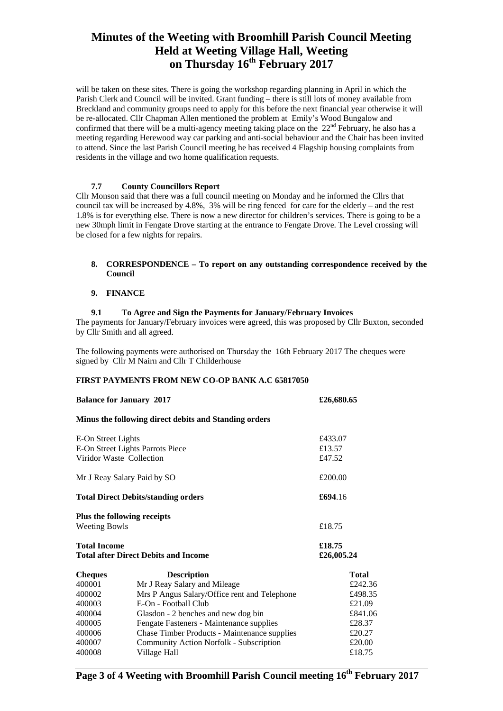will be taken on these sites. There is going the workshop regarding planning in April in which the Parish Clerk and Council will be invited. Grant funding – there is still lots of money available from Breckland and community groups need to apply for this before the next financial year otherwise it will be re-allocated. Cllr Chapman Allen mentioned the problem at Emily's Wood Bungalow and confirmed that there will be a multi-agency meeting taking place on the  $22<sup>nd</sup>$  February, he also has a meeting regarding Herewood way car parking and anti-social behaviour and the Chair has been invited to attend. Since the last Parish Council meeting he has received 4 Flagship housing complaints from residents in the village and two home qualification requests.

### **7.7 County Councillors Report**

Cllr Monson said that there was a full council meeting on Monday and he informed the Cllrs that council tax will be increased by 4.8%, 3% will be ring fenced for care for the elderly – and the rest 1.8% is for everything else. There is now a new director for children's services. There is going to be a new 30mph limit in Fengate Drove starting at the entrance to Fengate Drove. The Level crossing will be closed for a few nights for repairs.

### **8. CORRESPONDENCE – To report on any outstanding correspondence received by the Council**

## **9. FINANCE**

### **9.1 To Agree and Sign the Payments for January/February Invoices**

The payments for January/February invoices were agreed, this was proposed by Cllr Buxton, seconded by Cllr Smith and all agreed.

The following payments were authorised on Thursday the 16th February 2017 The cheques were signed by Cllr M Nairn and Cllr T Childerhouse

### **FIRST PAYMENTS FROM NEW CO-OP BANK A.C 65817050**

| <b>Balance for January 2017</b>                                    | £26,680.65                                            |                      |
|--------------------------------------------------------------------|-------------------------------------------------------|----------------------|
|                                                                    | Minus the following direct debits and Standing orders |                      |
| E-On Street Lights                                                 |                                                       | £433.07              |
| E-On Street Lights Parrots Piece                                   |                                                       | £13.57               |
| Viridor Waste Collection                                           |                                                       | £47.52               |
| Mr J Reay Salary Paid by SO                                        |                                                       | £200.00              |
| <b>Total Direct Debits/standing orders</b>                         |                                                       | £694.16              |
| Plus the following receipts<br><b>Weeting Bowls</b>                |                                                       | £18.75               |
| <b>Total Income</b><br><b>Total after Direct Debits and Income</b> |                                                       | £18.75<br>£26,005.24 |
| <b>Cheques</b>                                                     | <b>Description</b>                                    | <b>Total</b>         |
| 400001                                                             | Mr J Reay Salary and Mileage                          | £242.36              |
| 400002                                                             | Mrs P Angus Salary/Office rent and Telephone          | £498.35              |
| 400003                                                             | E-On - Football Club                                  | £21.09               |
| 400004                                                             | Glasdon - 2 benches and new dog bin                   | £841.06              |
| 400005                                                             | Fengate Fasteners - Maintenance supplies              | £28.37               |
| 400006                                                             | <b>Chase Timber Products - Maintenance supplies</b>   | £20.27               |
| 400007                                                             | Community Action Norfolk - Subscription               | £20.00               |
| 400008                                                             | Village Hall                                          | £18.75               |